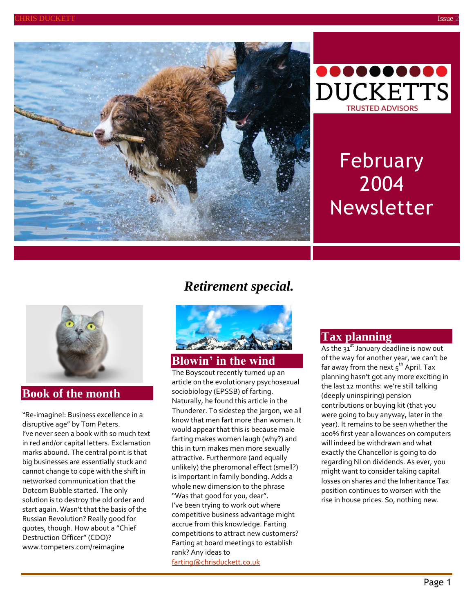



# February 2004 Newsletter



#### **Book of the month**

"Re-imagine!: Business excellence in a disruptive age" by Tom Peters. I've never seen a book with so much text in red and/or capital letters. Exclamation marks abound. The central point is that big businesses are essentially stuck and cannot change to cope with the shift in networked communication that the Dotcom Bubble started. The only solution is to destroy the old order and start again. Wasn't that the basis of the Russian Revolution? Really good for quotes, though. How about a "Chief Destruction Officer" (CDO)? [www.tompeters.com/reimagine](http://www.tompeters.com/reimagine)

# *Retirement special.*



## **Blowin' in the wind**

The Boyscout recently turned up an article on the evolutionary psychosexual sociobiology (EPSSB) of farting. Naturally, he found this article in the Thunderer. To sidestep the jargon, we all know that men fart more than women. It would appear that this is because male farting makes women laugh (why?) and this in turn makes men more sexually attractive. Furthermore (and equally unlikely) the pheromonal effect (smell?) is important in family bonding. Adds a whole new dimension to the phrase "Was that good for you, dear". I've been trying to work out where competitive business advantage might accrue from this knowledge. Farting competitions to attract new customers? Farting at board meetings to establish rank? Any ideas to [farting@chrisduckett.co.uk](mailto:farting@chrisduckett.co.uk)

#### **Tax planning**

As the  $31^{st}$  January deadline is now out of the way for another year, we can't be far away from the next  $5^{th}$  April. Tax planning hasn't got any more exciting in the last 12 months: we're still talking (deeply uninspiring) pension contributions or buying kit (that you were going to buy anyway, later in the year). It remains to be seen whether the 100% first year allowances on computers will indeed be withdrawn and what exactly the Chancellor is going to do regarding NI on dividends. As ever, you might want to consider taking capital losses on shares and the Inheritance Tax position continues to worsen with the rise in house prices. So, nothing new.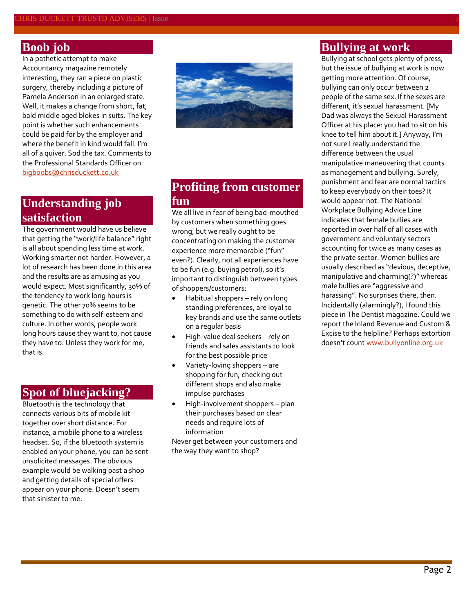### **Boob job**

In a pathetic attempt to make Accountancy magazine remotely interesting, they ran a piece on plastic surgery, thereby including a picture of Pamela Anderson in an enlarged state. Well, it makes a change from short, fat, bald middle aged blokes in suits. The key point is whether such enhancements could be paid for by the employer and where the benefit in kind would fall. I'm all of a quiver. Sod the tax. Comments to the Professional Standards Officer on [bigboobs@chrisduckett.co.uk](mailto:bigboobs@chrisduckett.co.uk)

## **Understanding job satisfaction**

The government would have us believe that getting the "work/life balance" right is all about spending less time at work. Working smarter not harder. However, a lot of research has been done in this area and the results are as amusing as you would expect. Most significantly, 30% of the tendency to work long hours is genetic. The other 70% seems to be something to do with self-esteem and culture. In other words, people work long hours cause they want to, not cause they have to. Unless they work for me, that is.

## **Spot of bluejacking?**

Bluetooth is the technology that connects various bits of mobile kit together over short distance. For instance, a mobile phone to a wireless headset. So, if the bluetooth system is enabled on your phone, you can be sent unsolicited messages. The obvious example would be walking past a shop and getting details of special offers appear on your phone. Doesn't seem that sinister to me.



## **Profiting from customer fun**

We all live in fear of being bad-mouthed by customers when something goes wrong, but we really ought to be concentrating on making the customer experience more memorable ("fun" even?). Clearly, not all experiences have to be fun (e.g. buying petrol), so it's important to distinguish between types of shoppers/customers:

- Habitual shoppers rely on long standing preferences, are loyal to key brands and use the same outlets on a regular basis
- High-value deal seekers rely on friends and sales assistants to look for the best possible price
- Variety-loving shoppers are shopping for fun, checking out different shops and also make impulse purchases
- High-involvement shoppers plan their purchases based on clear needs and require lots of information

Never get between your customers and the way they want to shop?

#### **Bullying at work**

Bullying at school gets plenty of press, but the issue of bullying at work is now getting more attention. Of course, bullying can only occur between 2 people of the same sex. If the sexes are different, it's sexual harassment. [My Dad was always the Sexual Harassment Officer at his place: you had to sit on his knee to tell him about it.] Anyway, I'm not sure I really understand the difference between the usual manipulative maneuvering that counts as management and bullying. Surely, punishment and fear are normal tactics to keep everybody on their toes? It would appear not. The National Workplace Bullying Advice Line indicates that female bullies are reported in over half of all cases with government and voluntary sectors accounting for twice as many cases as the private sector. Women bullies are usually described as "devious, deceptive, manipulative and charming(?)" whereas male bullies are "aggressive and harassing". No surprises there, then. Incidentally (alarmingly?), I found this piece in The Dentist magazine. Could we report the Inland Revenue and Custom & Excise to the helpline? Perhaps extortion doesn't count [www.bullyonline.org.uk](http://www.bullyonline.org.uk/)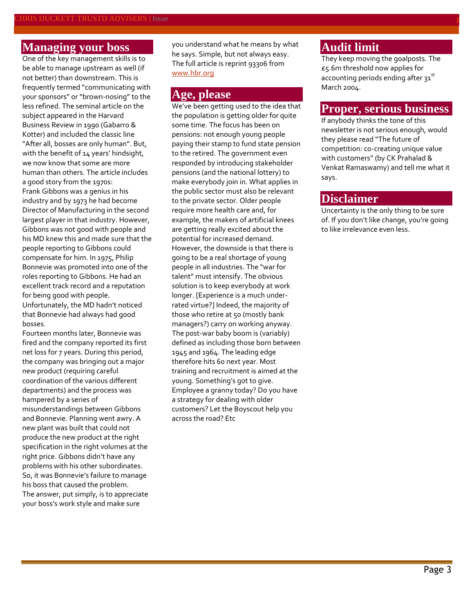#### **Managing your boss**

One of the key management skills is to be able to manage upstream as well (if not better) than downstream. This is frequently termed "communicating with your sponsors" or "brown-nosing" to the less refined. The seminal article on the subject appeared in the Harvard Business Review in 1990 (Gabarro & Kotter) and included the classic line "After all, bosses are only human". But, with the benefit of 14 years' hindsight, we now know that some are more human than others. The article includes a good story from the 1970s: Frank Gibbons was a genius in his industry and by 1973 he had become Director of Manufacturing in the second largest player in that industry. However, Gibbons was not good with people and his MD knew this and made sure that the people reporting to Gibbons could compensate for him. In 1975, Philip Bonnevie was promoted into one of the roles reporting to Gibbons. He had an excellent track record and a reputation for being good with people. Unfortunately, the MD hadn't noticed that Bonnevie had always had good bosses.

Fourteen months later, Bonnevie was fired and the company reported its first net loss for 7 years. During this period, the company was bringing out a major new product (requiring careful coordination of the various different departments) and the process was hampered by a series of misunderstandings between Gibbons and Bonnevie. Planning went awry. A new plant was built that could not produce the new product at the right specification in the right volumes at the right price. Gibbons didn't have any problems with his other subordinates. So, it was Bonnevie's failure to manage his boss that caused the problem. The answer, put simply, is to appreciate your boss's work style and make sure

you understand what he means by what he says. Simple, but not always easy. The full article is reprint 93306 from [www.hbr.org](http://www.hbr.org/)

#### **Age, please**

We've been getting used to the idea that the population is getting older for quite some time. The focus has been on pensions: not enough young people paying their stamp to fund state pension to the retired. The government even responded by introducing stakeholder pensions (and the national lottery) to make everybody join in. What applies in the public sector must also be relevant to the private sector. Older people require more health care and, for example, the makers of artificial knees are getting really excited about the potential for increased demand. However, the downside is that there is going to be a real shortage of young people in all industries. The "war for talent" must intensify. The obvious solution is to keep everybody at work longer. [Experience is a much underrated virtue?] Indeed, the majority of those who retire at 50 (mostly bank managers?) carry on working anyway. The post-war baby boom is (variably) defined as including those born between 1945 and 1964. The leading edge therefore hits 60 next year. Most training and recruitment is aimed at the young. Something's got to give. Employee a granny today? Do you have a strategy for dealing with older customers? Let the Boyscout help you across the road? Etc

## **Audit limit**

They keep moving the goalposts. The £5.6m threshold now applies for accounting periods ending after 31st March 2004.

#### **Proper, serious business**

If anybody thinks the tone of this newsletter is not serious enough, would they please read "The future of competition: co-creating unique value with customers" (by CK Prahalad & Venkat Ramaswamy) and tell me what it says.

#### **Disclaimer**

Uncertainty is the only thing to be sure of. If you don't like change, you're going to like irrelevance even less.